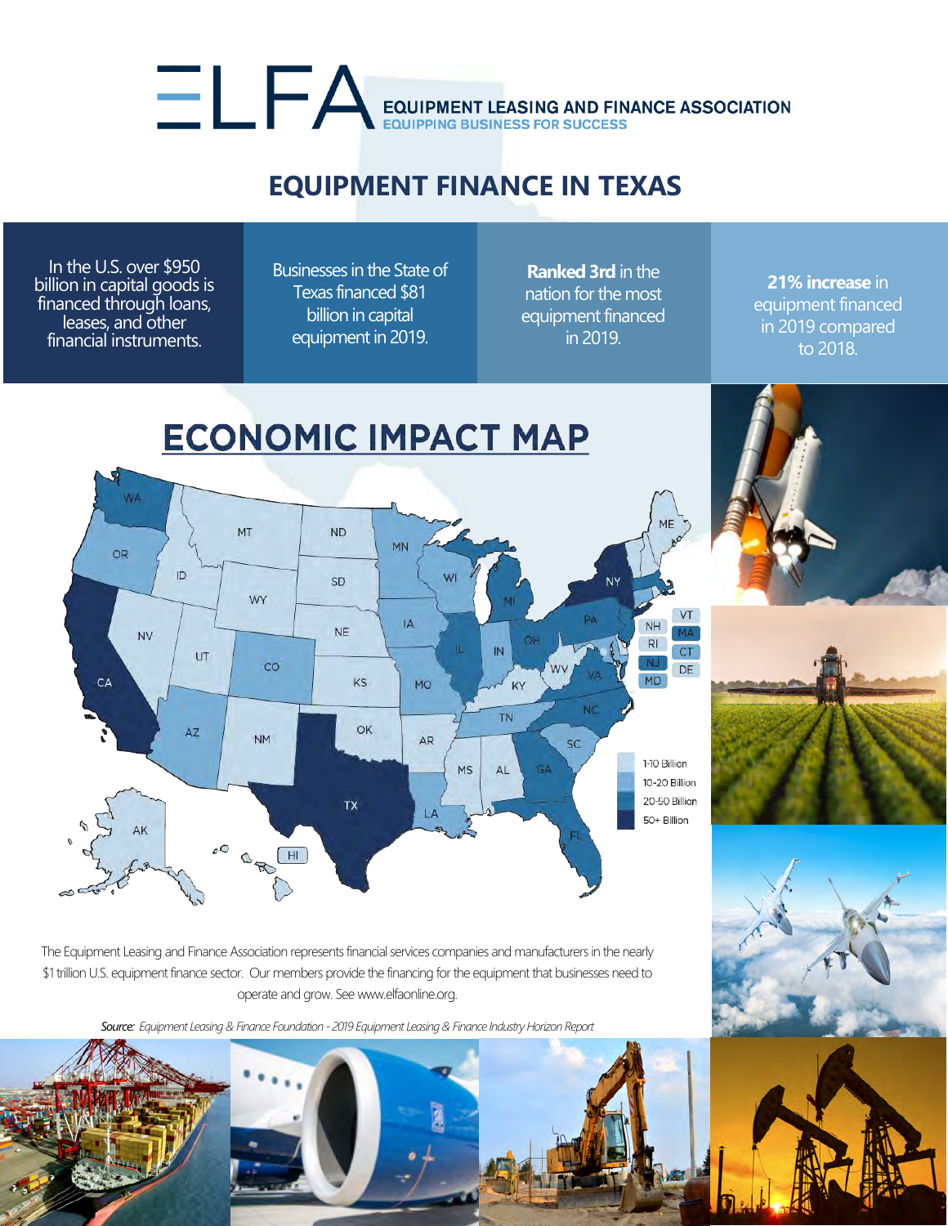## EQUIPMENT LEASING AND FINANCE ASSOCIATION

## **EQUIPMENT FINANCE IN TEXAS**

In the U.S. over \$950 billion in capital goods is financed through loans, leases, and other financial instruments.

Businesses in the State of Texas financed \$81 billion in capital equipment in 2019.

**Ranked 3rd** in the nation for the most equipment financed in 2019.

**21% increase** in equipment financed in 2019 compared to 2018.



The Equipment Leasing and Finance Association represents financial services companies and manufacturers in the nearly \$1 trillion U.S. equipment finance sector. Our members provide the financing for the equipment that businesses need to operate and grow. See www.elfaonline.org.

*Source: Equipment Leasing & Finance Foundation - 2019 Equipment Leasing & Finance Industry Horizon Report*